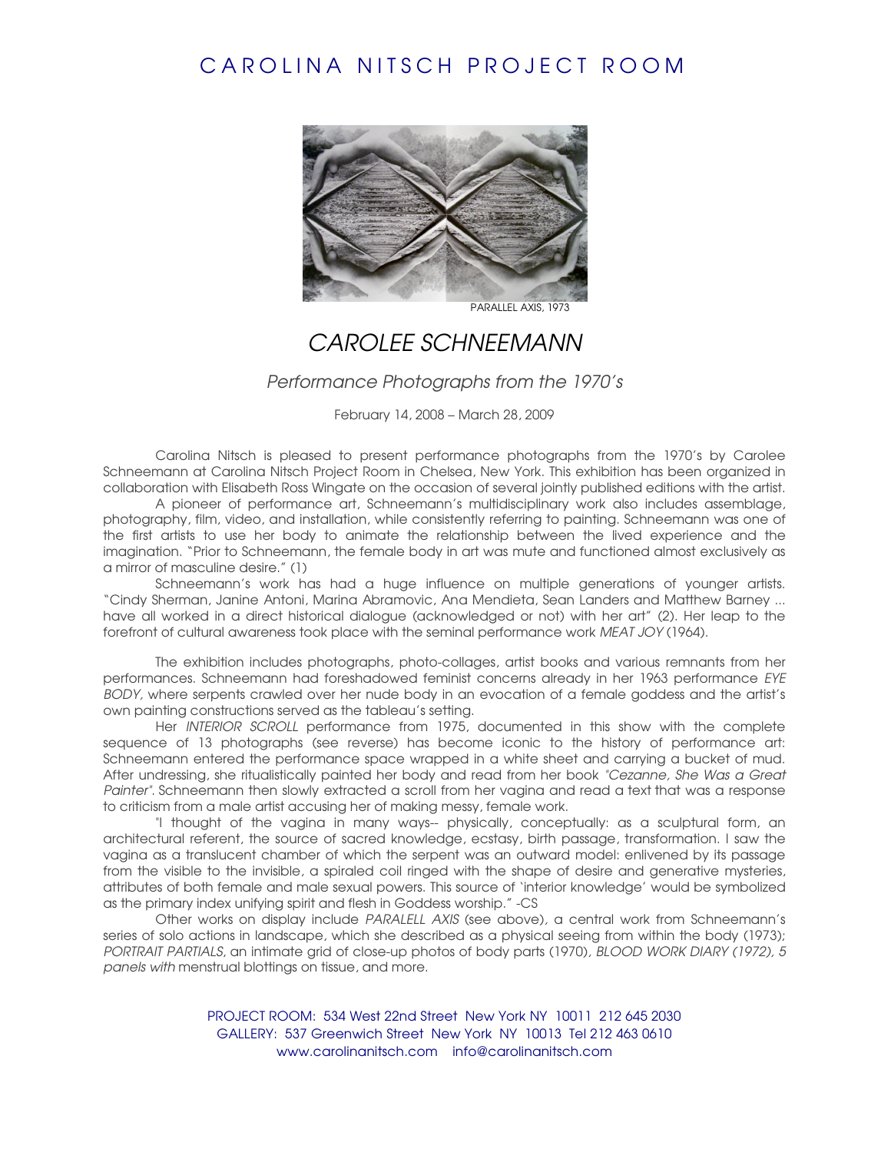## CAROLINA NITSCH PROJECT ROOM



## CAROLEE SCHNEEMANN

## Performance Photographs from the 1970's

February 14, 2008 – March 28, 2009

Carolina Nitsch is pleased to present performance photographs from the 1970's by Carolee Schneemann at Carolina Nitsch Project Room in Chelsea, New York. This exhibition has been organized in collaboration with Elisabeth Ross Wingate on the occasion of several jointly published editions with the artist.

A pioneer of performance art, Schneemann's multidisciplinary work also includes assemblage, photography, film, video, and installation, while consistently referring to painting. Schneemann was one of the first artists to use her body to animate the relationship between the lived experience and the imagination. "Prior to Schneemann, the female body in art was mute and functioned almost exclusively as a mirror of masculine desire." (1)

Schneemann's work has had a huge influence on multiple generations of younger artists. "Cindy Sherman, Janine Antoni, Marina Abramovic, Ana Mendieta, Sean Landers and Matthew Barney ... have all worked in a direct historical dialogue (acknowledged or not) with her art" (2). Her leap to the forefront of cultural awareness took place with the seminal performance work MEAT JOY (1964).

The exhibition includes photographs, photo-collages, artist books and various remnants from her performances. Schneemann had foreshadowed feminist concerns already in her 1963 performance EYE BODY, where serpents crawled over her nude body in an evocation of a female goddess and the artist's own painting constructions served as the tableau's setting.

Her INTERIOR SCROLL performance from 1975, documented in this show with the complete sequence of 13 photographs (see reverse) has become iconic to the history of performance art: Schneemann entered the performance space wrapped in a white sheet and carrying a bucket of mud. After undressing, she ritualistically painted her body and read from her book "Cezanne, She Was a Great Painter". Schneemann then slowly extracted a scroll from her vagina and read a text that was a response to criticism from a male artist accusing her of making messy, female work.

"I thought of the vagina in many ways-- physically, conceptually: as a sculptural form, an architectural referent, the source of sacred knowledge, ecstasy, birth passage, transformation. I saw the vagina as a translucent chamber of which the serpent was an outward model: enlivened by its passage from the visible to the invisible, a spiraled coil ringed with the shape of desire and generative mysteries, attributes of both female and male sexual powers. This source of 'interior knowledge' would be symbolized as the primary index unifying spirit and flesh in Goddess worship." -CS

Other works on display include PARALELL AXIS (see above), a central work from Schneemann's series of solo actions in landscape, which she described as a physical seeing from within the body (1973); PORTRAIT PARTIALS, an intimate grid of close-up photos of body parts (1970), BLOOD WORK DIARY (1972), 5 panels with menstrual blottings on tissue, and more.

> PROJECT ROOM: 534 West 22nd Street New York NY 10011 212 645 2030 GALLERY: 537 Greenwich Street New York NY 10013 Tel 212 463 0610 www.carolinanitsch.com info@carolinanitsch.com